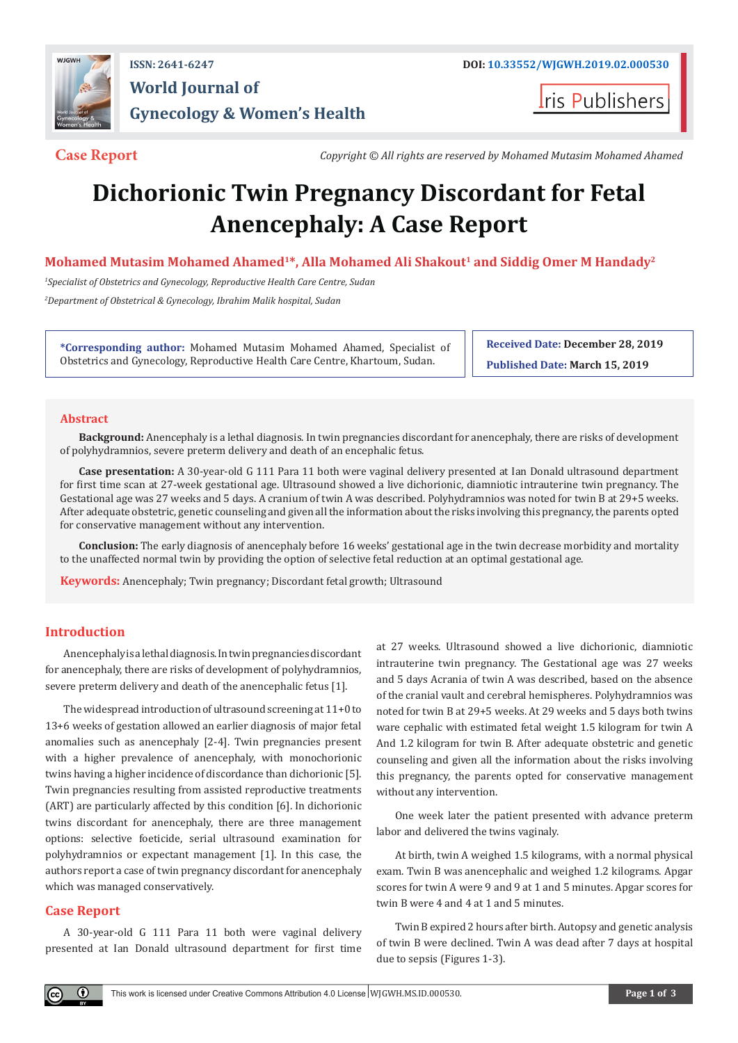

## **ISSN: 2641-6247 DOI: [10.33552/WJGWH.2019.02.000530](http://dx.doi.org/10.33552/WJGWH.2019.02.000530) World Journal of Gynecology & Women's Health**

**Iris Publishers** 

**Case Report** *Copyright © All rights are reserved by Mohamed Mutasim Mohamed Ahamed*

# **Dichorionic Twin Pregnancy Discordant for Fetal Anencephaly: A Case Report**

### Mohamed Mutasim Mohamed Ahamed<sup>1\*</sup>, Alla Mohamed Ali Shakout<sup>1</sup> and Siddig Omer M Handady<sup>2</sup>

*1 Specialist of Obstetrics and Gynecology, Reproductive Health Care Centre, Sudan 2 Department of Obstetrical & Gynecology, Ibrahim Malik hospital, Sudan*

**\*Corresponding author:** Mohamed Mutasim Mohamed Ahamed, Specialist of Obstetrics and Gynecology, Reproductive Health Care Centre, Khartoum, Sudan.

**Received Date: December 28, 2019 Published Date: March 15, 2019**

#### **Abstract**

**Background:** Anencephaly is a lethal diagnosis. In twin pregnancies discordant for anencephaly, there are risks of development of polyhydramnios, severe preterm delivery and death of an encephalic fetus.

**Case presentation:** A 30-year-old G 111 Para 11 both were vaginal delivery presented at Ian Donald ultrasound department for first time scan at 27-week gestational age. Ultrasound showed a live dichorionic, diamniotic intrauterine twin pregnancy. The Gestational age was 27 weeks and 5 days. A cranium of twin A was described. Polyhydramnios was noted for twin B at 29+5 weeks. After adequate obstetric, genetic counseling and given all the information about the risks involving this pregnancy, the parents opted for conservative management without any intervention.

**Conclusion:** The early diagnosis of anencephaly before 16 weeks' gestational age in the twin decrease morbidity and mortality to the unaffected normal twin by providing the option of selective fetal reduction at an optimal gestational age.

**Keywords:** Anencephaly; Twin pregnancy; Discordant fetal growth; Ultrasound

#### **Introduction**

Anencephaly is a lethal diagnosis. In twin pregnancies discordant for anencephaly, there are risks of development of polyhydramnios, severe preterm delivery and death of the anencephalic fetus [1].

The widespread introduction of ultrasound screening at 11+0 to 13+6 weeks of gestation allowed an earlier diagnosis of major fetal anomalies such as anencephaly [2-4]. Twin pregnancies present with a higher prevalence of anencephaly, with monochorionic twins having a higher incidence of discordance than dichorionic [5]. Twin pregnancies resulting from assisted reproductive treatments (ART) are particularly affected by this condition [6]. In dichorionic twins discordant for anencephaly, there are three management options: selective foeticide, serial ultrasound examination for polyhydramnios or expectant management [1]. In this case, the authors report a case of twin pregnancy discordant for anencephaly which was managed conservatively.

### **Case Report**

 $_{\odot}$ 

A 30-year-old G 111 Para 11 both were vaginal delivery presented at Ian Donald ultrasound department for first time at 27 weeks. Ultrasound showed a live dichorionic, diamniotic intrauterine twin pregnancy. The Gestational age was 27 weeks and 5 days Acrania of twin A was described, based on the absence of the cranial vault and cerebral hemispheres. Polyhydramnios was noted for twin B at 29+5 weeks. At 29 weeks and 5 days both twins ware cephalic with estimated fetal weight 1.5 kilogram for twin A And 1.2 kilogram for twin B. After adequate obstetric and genetic counseling and given all the information about the risks involving this pregnancy, the parents opted for conservative management without any intervention.

One week later the patient presented with advance preterm labor and delivered the twins vaginaly.

At birth, twin A weighed 1.5 kilograms, with a normal physical exam. Twin B was anencephalic and weighed 1.2 kilograms. Apgar scores for twin A were 9 and 9 at 1 and 5 minutes. Apgar scores for twin B were 4 and 4 at 1 and 5 minutes.

Twin B expired 2 hours after birth. Autopsy and genetic analysis of twin B were declined. Twin A was dead after 7 days at hospital due to sepsis (Figures 1-3).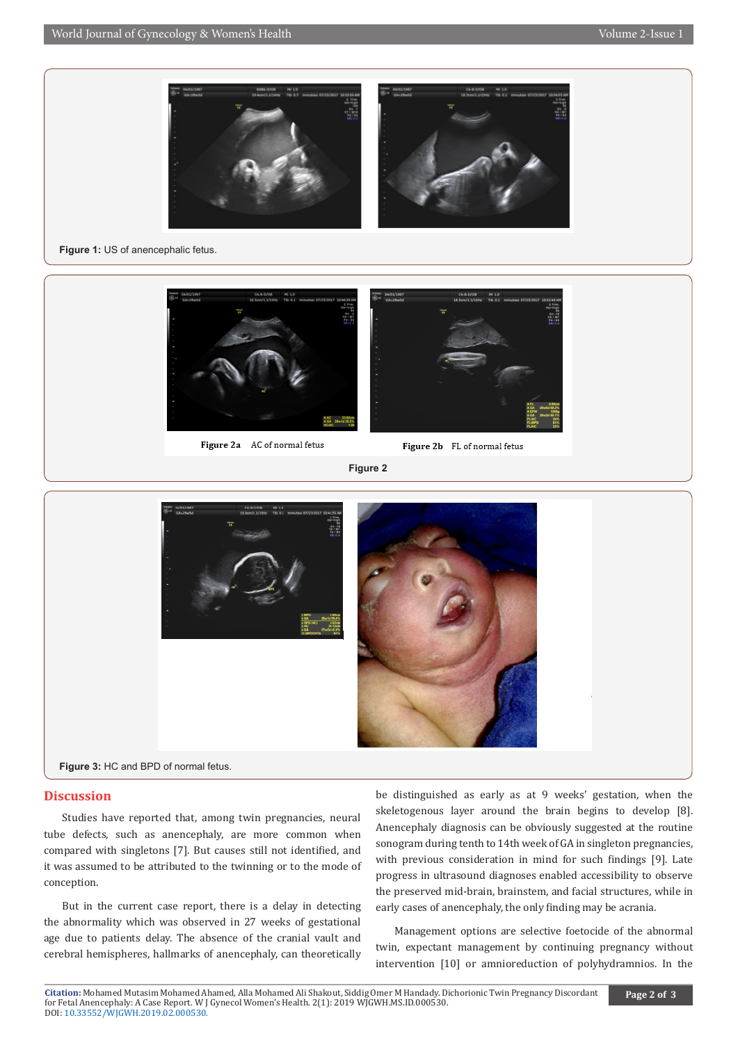

#### **Figure 1:** US of anencephalic fetus.



Figure 2b FL of normal fetus

**Figure 2**



#### **Discussion**

Studies have reported that, among twin pregnancies, neural tube defects, such as anencephaly, are more common when compared with singletons [7]. But causes still not identified, and it was assumed to be attributed to the twinning or to the mode of conception.

But in the current case report, there is a delay in detecting the abnormality which was observed in 27 weeks of gestational age due to patients delay. The absence of the cranial vault and cerebral hemispheres, hallmarks of anencephaly, can theoretically

be distinguished as early as at 9 weeks' gestation, when the skeletogenous layer around the brain begins to develop [8]. Anencephaly diagnosis can be obviously suggested at the routine sonogram during tenth to 14th week of GA in singleton pregnancies, with previous consideration in mind for such findings [9]. Late progress in ultrasound diagnoses enabled accessibility to observe the preserved mid-brain, brainstem, and facial structures, while in early cases of anencephaly, the only finding may be acrania.

Management options are selective foetocide of the abnormal twin, expectant management by continuing pregnancy without intervention [10] or amnioreduction of polyhydramnios. In the